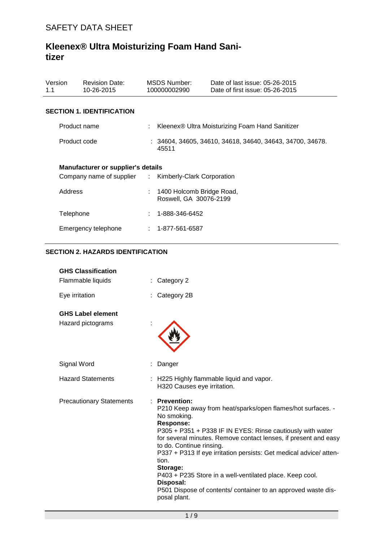| Version<br>1.1 | <b>Revision Date:</b><br>10-26-2015       | MSDS Number:<br>100000002990                        | Date of last issue: 05-26-2015<br>Date of first issue: 05-26-2015 |
|----------------|-------------------------------------------|-----------------------------------------------------|-------------------------------------------------------------------|
|                | <b>SECTION 1. IDENTIFICATION</b>          |                                                     |                                                                   |
| Product name   |                                           |                                                     | Kleenex® Ultra Moisturizing Foam Hand Sanitizer                   |
| Product code   |                                           | 45511                                               | $: 34604, 34605, 34610, 34618, 34640, 34643, 34700, 34678.$       |
|                | <b>Manufacturer or supplier's details</b> |                                                     |                                                                   |
|                | Company name of supplier :                | Kimberly-Clark Corporation                          |                                                                   |
| Address        |                                           | 1400 Holcomb Bridge Road,<br>Roswell, GA 30076-2199 |                                                                   |
| Telephone      |                                           | 1-888-346-6452                                      |                                                                   |
|                | Emergency telephone                       | : 1-877-561-6587                                    |                                                                   |

## **SECTION 2. HAZARDS IDENTIFICATION**

| <b>GHS Classification</b>       |                                                                                                                                                                                                                                                                                                                                                                                                                                                                                                                                       |
|---------------------------------|---------------------------------------------------------------------------------------------------------------------------------------------------------------------------------------------------------------------------------------------------------------------------------------------------------------------------------------------------------------------------------------------------------------------------------------------------------------------------------------------------------------------------------------|
| Flammable liquids               | Category 2                                                                                                                                                                                                                                                                                                                                                                                                                                                                                                                            |
| Eye irritation                  | Category 2B                                                                                                                                                                                                                                                                                                                                                                                                                                                                                                                           |
| <b>GHS Label element</b>        |                                                                                                                                                                                                                                                                                                                                                                                                                                                                                                                                       |
| Hazard pictograms               |                                                                                                                                                                                                                                                                                                                                                                                                                                                                                                                                       |
| Signal Word                     | Danger                                                                                                                                                                                                                                                                                                                                                                                                                                                                                                                                |
| <b>Hazard Statements</b>        | H225 Highly flammable liquid and vapor.<br>H320 Causes eye irritation.                                                                                                                                                                                                                                                                                                                                                                                                                                                                |
| <b>Precautionary Statements</b> | <b>Prevention:</b><br>P210 Keep away from heat/sparks/open flames/hot surfaces. -<br>No smoking.<br><b>Response:</b><br>P305 + P351 + P338 IF IN EYES: Rinse cautiously with water<br>for several minutes. Remove contact lenses, if present and easy<br>to do. Continue rinsing.<br>P337 + P313 If eye irritation persists: Get medical advice/atten-<br>tion.<br>Storage:<br>P403 + P235 Store in a well-ventilated place. Keep cool.<br>Disposal:<br>P501 Dispose of contents/ container to an approved waste dis-<br>posal plant. |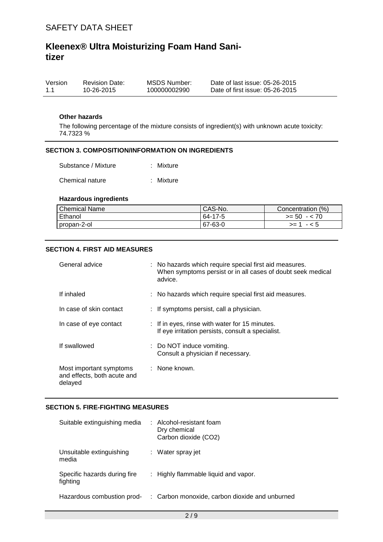| Version | <b>Revision Date:</b> | MSDS Number: | Date of last issue: 05-26-2015  |
|---------|-----------------------|--------------|---------------------------------|
| 1.1     | 10-26-2015            | 100000002990 | Date of first issue: 05-26-2015 |

#### **Other hazards**

The following percentage of the mixture consists of ingredient(s) with unknown acute toxicity: 74.7323 %

#### **SECTION 3. COMPOSITION/INFORMATION ON INGREDIENTS**

| Substance / Mixture | : Mixture |
|---------------------|-----------|
|                     |           |

Chemical nature : Mixture

#### **Hazardous ingredients**

| <b>Chemical Name</b> | CAS-No. | Concentration (%) |
|----------------------|---------|-------------------|
| Ethanol              | 64-17-5 | $>= 50 - 70$      |
| I propan-2-ol        | 67-63-0 | $-5$<br>$>= 1$    |

#### **SECTION 4. FIRST AID MEASURES**

| General advice                                                    | : No hazards which require special first aid measures.<br>When symptoms persist or in all cases of doubt seek medical<br>advice. |
|-------------------------------------------------------------------|----------------------------------------------------------------------------------------------------------------------------------|
| If inhaled                                                        | : No hazards which require special first aid measures.                                                                           |
| In case of skin contact                                           | : If symptoms persist, call a physician.                                                                                         |
| In case of eye contact                                            | : If in eyes, rinse with water for 15 minutes.<br>If eye irritation persists, consult a specialist.                              |
| If swallowed                                                      | : Do NOT induce vomiting.<br>Consult a physician if necessary.                                                                   |
| Most important symptoms<br>and effects, both acute and<br>delayed | : None known.                                                                                                                    |

#### **SECTION 5. FIRE-FIGHTING MEASURES**

| Suitable extinguishing media             | : Alcohol-resistant foam<br>Dry chemical<br>Carbon dioxide (CO2) |
|------------------------------------------|------------------------------------------------------------------|
| Unsuitable extinguishing<br>media        | : Water spray jet                                                |
| Specific hazards during fire<br>fighting | $\therefore$ Highly flammable liquid and vapor.                  |
| Hazardous combustion prod-               | : Carbon monoxide, carbon dioxide and unburned                   |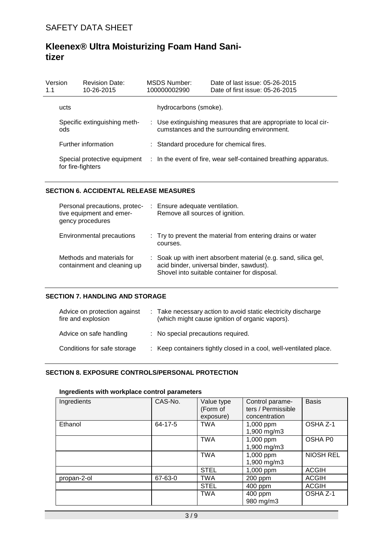| Version<br>1.1 | <b>Revision Date:</b><br>10-26-2015               | <b>MSDS Number:</b><br>100000002990 | Date of last issue: 05-26-2015<br>Date of first issue: 05-26-2015                                              |
|----------------|---------------------------------------------------|-------------------------------------|----------------------------------------------------------------------------------------------------------------|
|                | ucts                                              | hydrocarbons (smoke).               |                                                                                                                |
|                | Specific extinguishing meth-<br>ods               |                                     | : Use extinguishing measures that are appropriate to local cir-<br>cumstances and the surrounding environment. |
|                | Further information                               |                                     | : Standard procedure for chemical fires.                                                                       |
|                | Special protective equipment<br>for fire-fighters |                                     | : In the event of fire, wear self-contained breathing apparatus.                                               |

### **SECTION 6. ACCIDENTAL RELEASE MEASURES**

| Personal precautions, protec-<br>tive equipment and emer-<br>gency procedures | : Ensure adequate ventilation.<br>Remove all sources of ignition.                                                                                           |
|-------------------------------------------------------------------------------|-------------------------------------------------------------------------------------------------------------------------------------------------------------|
| Environmental precautions                                                     | : Try to prevent the material from entering drains or water<br>courses.                                                                                     |
| Methods and materials for<br>containment and cleaning up                      | : Soak up with inert absorbent material (e.g. sand, silica gel,<br>acid binder, universal binder, sawdust).<br>Shovel into suitable container for disposal. |

### **SECTION 7. HANDLING AND STORAGE**

| Advice on protection against<br>fire and explosion | : Take necessary action to avoid static electricity discharge<br>(which might cause ignition of organic vapors). |
|----------------------------------------------------|------------------------------------------------------------------------------------------------------------------|
| Advice on safe handling                            | : No special precautions required.                                                                               |
| Conditions for safe storage                        | : Keep containers tightly closed in a cool, well-ventilated place.                                               |

# **SECTION 8. EXPOSURE CONTROLS/PERSONAL PROTECTION**

### **Ingredients with workplace control parameters**

| Ingredients | CAS-No. | Value type<br>(Form of<br>exposure) | Control parame-<br>ters / Permissible<br>concentration | <b>Basis</b>     |
|-------------|---------|-------------------------------------|--------------------------------------------------------|------------------|
| Ethanol     | 64-17-5 | <b>TWA</b>                          | 1,000 ppm<br>1,900 mg/m3                               | OSHA Z-1         |
|             |         | <b>TWA</b>                          | 1,000 ppm<br>1,900 mg/m3                               | OSHA P0          |
|             |         | <b>TWA</b>                          | 1,000 ppm<br>1,900 mg/m3                               | <b>NIOSH REL</b> |
|             |         | <b>STEL</b>                         | 1,000 ppm                                              | <b>ACGIH</b>     |
| propan-2-ol | 67-63-0 | <b>TWA</b>                          | 200 ppm                                                | <b>ACGIH</b>     |
|             |         | <b>STEL</b>                         | 400 ppm                                                | <b>ACGIH</b>     |
|             |         | <b>TWA</b>                          | 400 ppm<br>980 mg/m3                                   | OSHA Z-1         |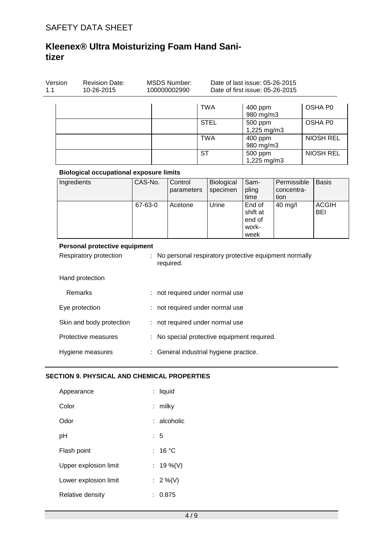| Version<br>1.1 | <b>Revision Date:</b><br>10-26-2015                     |         |    | <b>MSDS Number:</b><br>100000002990 |            | Date of last issue: 05-26-2015<br>Date of first issue: 05-26-2015 |                                               |                                   |                  |                            |
|----------------|---------------------------------------------------------|---------|----|-------------------------------------|------------|-------------------------------------------------------------------|-----------------------------------------------|-----------------------------------|------------------|----------------------------|
|                |                                                         |         |    |                                     |            | <b>TWA</b>                                                        | 400 ppm<br>980 mg/m3                          |                                   |                  | OSHA P0                    |
|                |                                                         |         |    |                                     |            | <b>STEL</b>                                                       | 500 ppm<br>1,225 mg/m3                        |                                   |                  | OSHA P0                    |
|                |                                                         |         |    |                                     | <b>TWA</b> |                                                                   | 400 ppm<br>980 mg/m3                          |                                   |                  | <b>NIOSH REL</b>           |
|                |                                                         |         |    | <b>ST</b>                           |            |                                                                   | $500$ ppm<br>1,225 mg/m3                      |                                   | <b>NIOSH REL</b> |                            |
|                | <b>Biological occupational exposure limits</b>          |         |    |                                     |            |                                                                   |                                               |                                   |                  |                            |
|                | Ingredients                                             | CAS-No. |    | Control<br>parameters               |            | Biological<br>specimen                                            | Sam-<br>pling<br>time                         | Permissible<br>concentra-<br>tion |                  | <b>Basis</b>               |
|                |                                                         | 67-63-0 |    | Acetone                             |            | Urine                                                             | End of<br>shift at<br>end of<br>work-<br>week | 40 mg/l                           |                  | <b>ACGIH</b><br><b>BEI</b> |
|                | Personal protective equipment<br>Respiratory protection |         | t. |                                     |            | No personal respiratory protective equipment normally             |                                               |                                   |                  |                            |
|                |                                                         |         |    | required.                           |            |                                                                   |                                               |                                   |                  |                            |
|                | Hand protection                                         |         |    |                                     |            |                                                                   |                                               |                                   |                  |                            |
|                | Remarks                                                 |         |    |                                     |            | : not required under normal use                                   |                                               |                                   |                  |                            |
|                | Eye protection                                          |         |    |                                     |            | : not required under normal use                                   |                                               |                                   |                  |                            |
|                | Skin and body protection                                |         |    |                                     |            | : not required under normal use                                   |                                               |                                   |                  |                            |
|                | Protective measures                                     |         |    |                                     |            | : No special protective equipment required.                       |                                               |                                   |                  |                            |
|                | Hygiene measures                                        |         |    |                                     |            | : General industrial hygiene practice.                            |                                               |                                   |                  |                            |

| Appearance            | : liquid      |
|-----------------------|---------------|
| Color                 | : milky       |
| Odor                  | $:$ alcoholic |
| рH                    | : 5           |
| Flash point           | : 16 °C       |
| Upper explosion limit | : 19 %(V)     |
| Lower explosion limit | : $2\%$ (V)   |
| Relative density      | : 0.875       |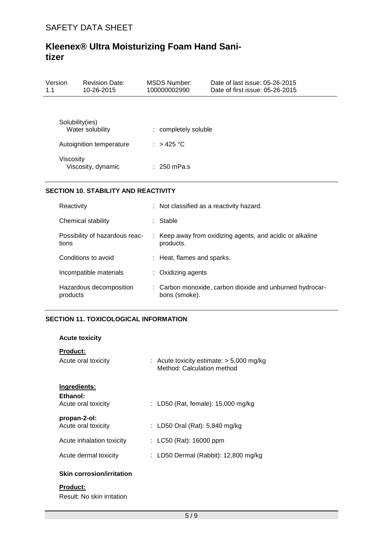| Version<br>1.1 | <b>Revision Date:</b><br>10-26-2015 | MSDS Number:<br>100000002990 | Date of last issue: 05-26-2015<br>Date of first issue: 05-26-2015 |
|----------------|-------------------------------------|------------------------------|-------------------------------------------------------------------|
|                |                                     |                              |                                                                   |
|                | Solubility(ies)<br>Water solubility | : completely soluble         |                                                                   |
|                | Autoignition temperature            | : $>425$ °C                  |                                                                   |
| Viscosity      | Viscosity, dynamic                  | $: 250$ mPa.s                |                                                                   |

### **SECTION 10. STABILITY AND REACTIVITY**

| Reactivity                              | : Not classified as a reactivity hazard.                                  |
|-----------------------------------------|---------------------------------------------------------------------------|
| Chemical stability                      | : Stable                                                                  |
| Possibility of hazardous reac-<br>tions | : Keep away from oxidizing agents, and acidic or alkaline<br>products.    |
| Conditions to avoid                     | : Heat, flames and sparks.                                                |
| Incompatible materials                  | $:$ Oxidizing agents                                                      |
| Hazardous decomposition<br>products     | : Carbon monoxide, carbon dioxide and unburned hydrocar-<br>bons (smoke). |

## **SECTION 11. TOXICOLOGICAL INFORMATION**

| <b>Acute toxicity</b>                           |                                                                          |
|-------------------------------------------------|--------------------------------------------------------------------------|
| <b>Product:</b><br>Acute oral toxicity          | : Acute toxicity estimate: $>$ 5,000 mg/kg<br>Method: Calculation method |
| Ingredients:<br>Ethanol:<br>Acute oral toxicity | : LD50 (Rat, female): $15,000$ mg/kg                                     |
| propan-2-ol:<br>Acute oral toxicity             | : LD50 Oral (Rat): $5,840$ mg/kg                                         |
| Acute inhalation toxicity                       | : LC50 (Rat): $16000$ ppm                                                |
| Acute dermal toxicity                           | : LD50 Dermal (Rabbit): 12,800 mg/kg                                     |
| <b>Skin corrosion/irritation</b>                |                                                                          |

# **Product:**

Result: No skin irritation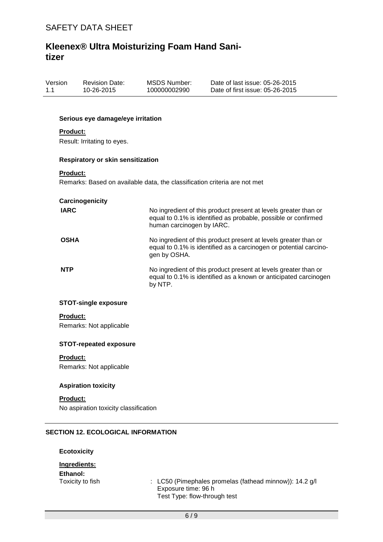| Version | <b>Revision Date:</b> | MSDS Number: | Date of last issue: 05-26-2015  |
|---------|-----------------------|--------------|---------------------------------|
| 1.1     | 10-26-2015            | 100000002990 | Date of first issue: 05-26-2015 |

#### **Serious eye damage/eye irritation**

#### **Product:**

Result: Irritating to eyes.

#### **Respiratory or skin sensitization**

#### **Product:**

Remarks: Based on available data, the classification criteria are not met

| Carcinogenicity |                                                                                                                                                                |
|-----------------|----------------------------------------------------------------------------------------------------------------------------------------------------------------|
| <b>IARC</b>     | No ingredient of this product present at levels greater than or<br>equal to 0.1% is identified as probable, possible or confirmed<br>human carcinogen by IARC. |
| <b>OSHA</b>     | No ingredient of this product present at levels greater than or<br>equal to 0.1% is identified as a carcinogen or potential carcino-<br>gen by OSHA.           |
| <b>NTP</b>      | No ingredient of this product present at levels greater than or<br>equal to 0.1% is identified as a known or anticipated carcinogen<br>by NTP.                 |

#### **STOT-single exposure**

#### **Product:**

Remarks: Not applicable

#### **STOT-repeated exposure**

#### **Product:**

Remarks: Not applicable

#### **Aspiration toxicity**

#### **Product:**

No aspiration toxicity classification

#### **SECTION 12. ECOLOGICAL INFORMATION**

#### **Ecotoxicity**

| Ingredients:     |                                                                                                                  |
|------------------|------------------------------------------------------------------------------------------------------------------|
| Ethanol:         |                                                                                                                  |
| Toxicity to fish | : LC50 (Pimephales promelas (fathead minnow)): $14.2$ g/l<br>Exposure time: 96 h<br>Test Type: flow-through test |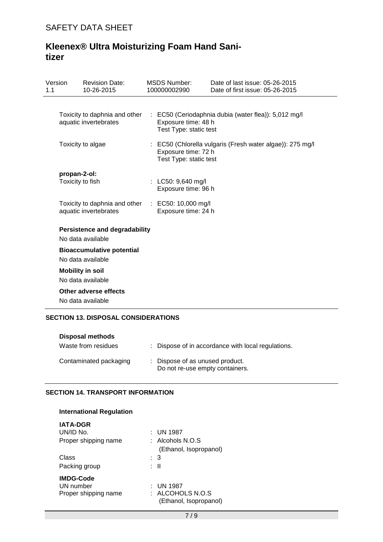| Version<br>1.1 |              | <b>Revision Date:</b><br>10-26-2015                       | <b>MSDS Number:</b><br>100000002990           | Date of last issue: 05-26-2015<br>Date of first issue: 05-26-2015 |
|----------------|--------------|-----------------------------------------------------------|-----------------------------------------------|-------------------------------------------------------------------|
|                |              |                                                           |                                               |                                                                   |
|                |              | Toxicity to daphnia and other<br>aquatic invertebrates    | Exposure time: 48 h<br>Test Type: static test | : EC50 (Ceriodaphnia dubia (water flea)): 5,012 mg/l              |
|                |              | Toxicity to algae                                         | Exposure time: 72 h<br>Test Type: static test | : EC50 (Chlorella vulgaris (Fresh water algae)): 275 mg/l         |
|                | propan-2-ol: |                                                           |                                               |                                                                   |
|                |              | Toxicity to fish                                          | : LC50: 9,640 mg/l<br>Exposure time: 96 h     |                                                                   |
|                |              | Toxicity to daphnia and other<br>aquatic invertebrates    | : EC50: 10,000 mg/l<br>Exposure time: 24 h    |                                                                   |
|                |              | <b>Persistence and degradability</b><br>No data available |                                               |                                                                   |
|                |              | <b>Bioaccumulative potential</b><br>No data available     |                                               |                                                                   |
|                |              | <b>Mobility in soil</b>                                   |                                               |                                                                   |
|                |              | No data available                                         |                                               |                                                                   |
|                |              | Other adverse effects                                     |                                               |                                                                   |
|                |              | No data available                                         |                                               |                                                                   |

## **SECTION 13. DISPOSAL CONSIDERATIONS**

| <b>Disposal methods</b> |                                                                    |
|-------------------------|--------------------------------------------------------------------|
| Waste from residues     | : Dispose of in accordance with local regulations.                 |
| Contaminated packaging  | : Dispose of as unused product.<br>Do not re-use empty containers. |

# **SECTION 14. TRANSPORT INFORMATION**

| International Regulation                              |                                                       |  |
|-------------------------------------------------------|-------------------------------------------------------|--|
| <b>IATA-DGR</b><br>UN/ID No.<br>Proper shipping name  | : UN 1987<br>$\cdot$ Alcohols N.O.S                   |  |
| Class<br>Packing group                                | (Ethanol, Isopropanol)<br>: 3<br>: II                 |  |
| <b>IMDG-Code</b><br>UN number<br>Proper shipping name | : UN 1987<br>ALCOHOLS N.O.S<br>(Ethanol, Isopropanol) |  |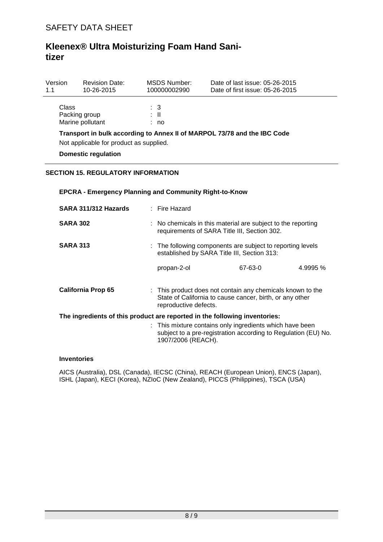| Version<br>1.1                                                                                                      | <b>Revision Date:</b><br>10-26-2015 | MSDS Number:<br>100000002990 | Date of last issue: 05-26-2015<br>Date of first issue: 05-26-2015 |  |  |
|---------------------------------------------------------------------------------------------------------------------|-------------------------------------|------------------------------|-------------------------------------------------------------------|--|--|
| Class                                                                                                               | Packing group<br>Marine pollutant   | : 3<br>: II<br>: no          |                                                                   |  |  |
| Transport in bulk according to Annex II of MARPOL 73/78 and the IBC Code<br>Not applicable for product as supplied. |                                     |                              |                                                                   |  |  |

**Domestic regulation**

## **SECTION 15. REGULATORY INFORMATION**

### **EPCRA - Emergency Planning and Community Right-to-Know**

| SARA 311/312 Hazards                                                       | : Fire Hazard                                                                                                                                    |         |          |  |  |
|----------------------------------------------------------------------------|--------------------------------------------------------------------------------------------------------------------------------------------------|---------|----------|--|--|
| <b>SARA 302</b>                                                            | $\therefore$ No chemicals in this material are subject to the reporting<br>requirements of SARA Title III, Section 302.                          |         |          |  |  |
| <b>SARA 313</b>                                                            | : The following components are subject to reporting levels<br>established by SARA Title III, Section 313:                                        |         |          |  |  |
|                                                                            | propan-2-ol                                                                                                                                      | 67-63-0 | 4.9995 % |  |  |
| <b>California Prop 65</b>                                                  | : This product does not contain any chemicals known to the<br>State of California to cause cancer, birth, or any other<br>reproductive defects.  |         |          |  |  |
| The ingredients of this product are reported in the following inventories: |                                                                                                                                                  |         |          |  |  |
|                                                                            | : This mixture contains only ingredients which have been<br>subject to a pre-registration according to Regulation (EU) No.<br>1907/2006 (REACH). |         |          |  |  |

#### **Inventories**

AICS (Australia), DSL (Canada), IECSC (China), REACH (European Union), ENCS (Japan), ISHL (Japan), KECI (Korea), NZIoC (New Zealand), PICCS (Philippines), TSCA (USA)